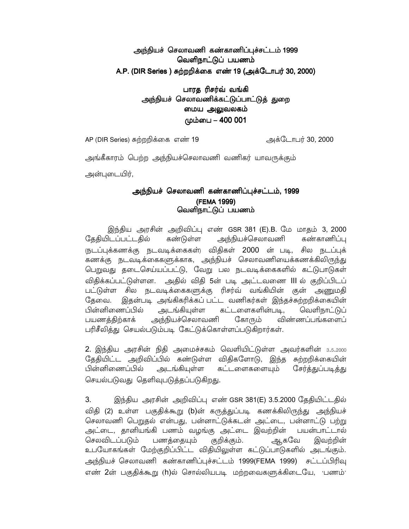# அந்நியச் செலாவணி கண்காணிப்புச்சட்டம் 1999 வெளிநாட்டுப் பயணம் A.P. (DIR Series ) சுற்றறிக்கை எண் 19 (அக்டோபர் 30, 2000)

## பாரத ரிசர்வ் வங்கி அந்நியச் செலாவணிக்கட்டுப்பாட்டுத் துறை மைய அலுவலகம் மும்பை – 400 001

AP (DIR Series) சுற்றறிக்கை எண் 19 அக்டோபர் 30, 2000

அங்கீகாரம் பெற்ற அந்நியச்செலாவணி வணிகர் யாவருக்கும் அன்புடையிர்.

## அந்நியச் செலாவணி கண்காணிப்புச்சட்டம், 1999 (FEMA 1999) வெளிநாட்டுப் பயணம்

இந்திய அரசின் அறிவிப்பு எண் GSR 381 (E).B. மே மாதம் 3, 2000 அந்நியச்செலாவணி தேதியிடப்பட்டதில் கண்டுள்ள கண்காணிப்பு ருடப்புக்கணக்கு நடவடிக்கைகள்) விதிகள் 2000 ன் படி, சில நடப்புக் கணக்கு நடவடிக்கைகளுக்காக, அந்நியச் செலாவணியைக்கணக்கிலிருந்து பெறுவது தடைசெய்யப்பட்டு, வேறு பல நடவடிக்கைகளில் கட்டுபாடுகள் விதிக்கப்பட்டுள்ளன. அதில் விதி 5ன் படி அட்டவணை III ல் குறிப்பிடப் பட்டுள்ள சில நடவடிக்கைகளுக்கு ரிசர்வ் வங்கியின் குன் அணுமதி தேவை. இதன்படி அங்கிகரிக்கப் பட்ட வணிகர்கள் இந்தச்சுற்றறிக்கையின் பின்னிணைப்பில் கட்டளைகளின்படி. அடங்கியுள்ள வெளிநாட்டுப் பயணத்திற்காக் அந்நியச்செலாவணி கோரும் விண்ணப்பங்களைப் பரிசீலித்து செயல்படும்படி கேட்டுக்கொள்ளப்படுகிறார்கள்.

2. இந்திய அரசின் நிதி அமைச்சகம் வெளியிட்டுள்ள அவர்களின் 3.5.2000 தேதியிட்ட அறிவிப்பில் கண்டுள்ள விதிகளோடு, இந்த சுற்றறிக்கையின் பின்னிணைப்பில் அடங்கியுள்ள கட்டளைகளையும் சேர்த்துப்படித்து செயல்படுவது தெளிவுபடுத்தப்படுகிறது.

3. இந்திய அரசின் அறிவிப்பு எண் GSR 381(E) 3.5.2000 தேதியிட்டதில் விதி (2) உள்ள பகுதிக்கூறு (b)ன் கருத்துப்படி கணக்கிலிருந்து அந்நியச் செலாவணி பெறுதல் என்பது, பன்னாட்டுக்கடன் அட்டை, பன்னாட்டு பற்று அட்டை, தானியங்கி பணம் வழங்கு அட்டை இவற்றின் பயன்பாட்டால் செலவிடப்படும் ஆகவே பணத்தையும் குறிக்கும். இவற்றின் உபயோகங்கள் மேற்குறிப்பிட்ட விதியிலுள்ள கட்டுப்பாடுகளில் அடங்கும். அந்நியச் செலாவணி கண்காணிப்புச்சட்டம் 1999(FEMA 1999) சட்டப்பிரிவு எண் 2ன் பகுதிக்கூறு (h)ல் சொல்லியபடி மற்றவைகளுக்கிடையே, பணம்<sup>,</sup>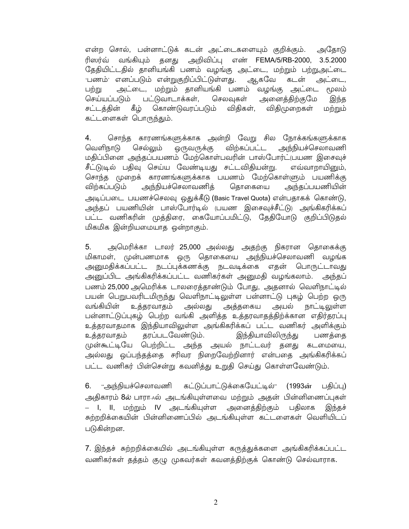என்ற சொல், பன்னாட்டுக் கடன் அட்டைகளையும் குறிக்கும். அதோடு வங்கியும் தனது அறிவிப்பு எண் FEMA/5/RB-2000, 3.5.2000 ரிஸா்வ் தேதியிட்டதில் தானியங்கி பணம் வழங்கு அட்டை, மற்றும் பற்றுஅட்டை 'பணம்' எனப்படும் என்றுகுறிப்பிட்டுள்ளது. ஆகவே கடன் அட்டை, அட்டை, மற்றும் தானியங்கி பணம் வழங்கு அட்டை பற்று மூலம் செய்யப்படும் பட்டுவாடாக்கள், செலவுகள் அனைத்திற்குமே இந்த சட்டத்தின் கீழ் கொண்டுவரப்படும் விதிகள், விதிமுறைகள் மற்றும் கட்டளைகள் பொருந்தும்.

சொந்த காரணங்களுக்காக அன்றி வேறு சில நோக்கங்களுக்காக 4. வெளிநாடு செல்லும் ஒருவருக்கு விற்கப்பட்ட அந்நியச்செலாவணி மதிப்பினை அந்தப்பயணம் மேற்கொள்பவரின் பாஸ்போர்ட்(பயண இசைவுச் சீட்டு)டில் பதிவு செய்ய வேண்டியது சட்டவிதியன்று. எவ்வாறாயினும், சொந்த முறைக் காரணங்களுக்காக பயணம் மேற்கொள்ளும் பயணிக்கு அந்தப்பயணியின் விற்கப்படும் அந்நியச்செலாவணித் தொகையை அடிப்படை பயணச்செலவு ஒதுக்கீடு (Basic Travel Quota) என்பதாகக் கொண்டு, அந்தப் பயணியின் பாஸ்போர்டில் (பயண இசைவுச்சீட்டு) அங்கிகரிக்கப் பட்ட வணிகரின் முத்திரை, கையோப்பமிட்டு, தேதியோடு குறிப்பிடுதல் மிகமிக இன்றியமையாத ஒன்றாகும்.

 $5<sub>1</sub>$ அமெரிக்கா டாலர் 25,000 அல்லது அதற்கு நிகரான தொகைக்கு மிகாமள், முன்பணமாக ஒரு தொகையை அந்நியச்செலாவணி வழங்க அனுமதிக்கப்பட்ட நடப்புக்கணக்கு நடவடிக்கை எதன் பொருட்டாவது அனுப்பிட அங்கிகரிக்கப்பட்ட வணிகர்கள் அனுமதி வழங்கலாம். அந்தப் பணம் 25,000 அமெரிக்க டாலரைத்தாண்டும் போது, அதனால் வெளிநாட்டில் பயன் பெறுபவரிடமிருந்து வெளிநாட்டிலுள்ள பன்னாட்டு புகழ் பெற்ற ஒரு வங்கியின் உக்கரவாகம் அல்லது அக்ககைய அயல் நாட்டிலுள்ள பன்னாட்டுப்புகழ் பெற்ற வங்கி அளித்த உத்தரவாதத்திற்க்கான எதிர்தரப்பு உத்தரவாதமாக இந்தியாவிலுள்ள அங்கிகரிக்கப் பட்ட வணிகர் அளிக்கும் தரப்படவேண்டும். இந்தியாவிலிருந்து உத்தரவாதம் பணக்கை முன்கூட்டியே பெற்றிட்ட அந்த அயல் நாட்டவர் தனது கடமையை, அல்லது ஒப்பந்தத்தை சரிவர நிறைவேற்றினார் என்பதை அங்கிகரிக்கப் பட்ட வணிகர் பின்சென்று கவனித்து உறுதி செய்து கொள்ளவேண்டும்.

கட்டுப்பாட்டுக்கையேட்டில்" (1993ன்  $6.$ "அந்நியச்செலாவணி பகிப்பு) அதிகாரம் 8ல் பாரா Aல் அடங்கியுள்ளவை மற்றும் அதன் பின்னிணைப்புகள் – I, II, மற்றும் IV அடங்கியுள்ள அனைத்திற்கும் பதிலாக இந்தச் சுற்றறிக்கையின் பின்னிணைப்பில் அடங்கியுள்ள கட்டளைகள் வெளியிடப் படுகின்றன.

7. இந்தச் சுற்றறிக்கையில் அடங்கியுள்ள கருத்துக்களை அங்கிகரிக்கப்பட்ட வணிகர்கள் தத்தம் குழு முகவர்கள் கவனத்திற்குக் கொண்டு செல்வாராக.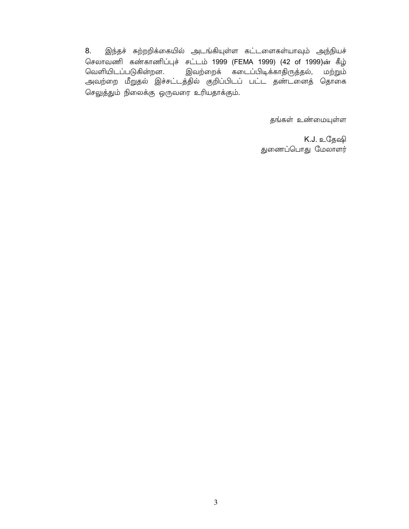8. இந்தச் சுற்றறிக்கையில் அடங்கியுள்ள கட்டளைகள்யாவும் அந்நியச் செலாவணி கண்காணிப்புச் சட்டம் 1999 (FEMA 1999) (42 of 1999)ன் கீழ் வெளியிடப்படுகின்றன. .<br>இவற்றைக் கடைப்பிடிக்காதிருத்தல், மற்றும் அவற்றை மீறுதல் இச்சட்டத்தில் குறிப்பிடப் பட்ட தண்டனைத் தொகை செலுத்தும் நிலைக்கு ஒருவரை உரியதாக்கும்.

தங்கள் உண்மையுள்ள

K.J. உதேஷி துணைப்பொது மேலாளர்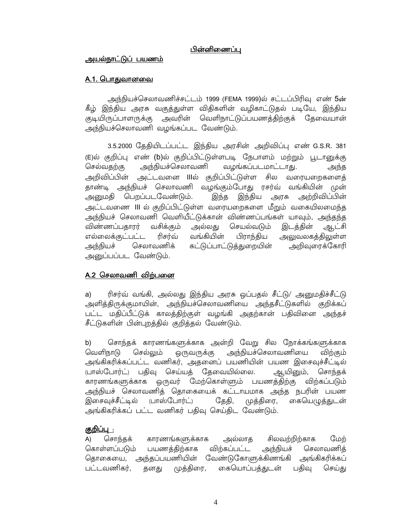### பின்னிணைப்பு

#### அயல்நாட்டுப் பயணம்

#### <u>A.1. பொதுவானவை</u>

அந்நியச்செலாவணிச்சட்டம் 1999 (FEMA 1999)ல் சட்டப்பிரிவு எண் 5ன் கீழ் இந்திய அரசு வகுத்துள்ள விதிகளின் வழிகாட்டுதல் படியே, இந்திய குடியிருப்பாளருக்கு அவரின் வெளிநாட்டுப்பயணத்திற்குக் தேவையான் அந்நியச்செலாவணி வழங்கப்பட வேண்டும்.

3.5.2000 தேதியிடப்பட்ட இந்திய அரசின் அறிவிப்பு எண் G.S.R. 381 (E)ல் குறிப்பு எண் (b)ல் குறிப்பிட்டுள்ளபடி நேபாளம் மற்றும் பூடானுக்கு அந்நியச்செலாவணி வழங்கப்படமாட்டாது. செல்வதற்கு அந்த அறிவிப்பின் அட்டவனை IIIல் குறிப்பிட்டுள்ள சில வரையறைகளைத் தாண்டி அந்நியச் செலாவணி வழங்கும்போது ரசர்வ் வங்கியின் முன் அனுமதி பெறப்படவேண்டும். இந்த இந்திய அரசு அற்றிவிப்பின் அட்டவணை III ல் குறிப்பிட்டுள்ள வரையறைகளை மீறும் வகையிலமைந்த அந்நியச் செலாவணி வெளியீட்டுக்கான் விண்ணப்பங்கள் யாவும், அந்தந்த விண்ணப்பதாரர் வசிக்கும் அல்லது செயல்வடும் இடத்தின் ஆட்சி எல்லைக்குட்பட்ட வங்கியின் அலுவலகத்திலுள்ள ரிசர்வ் பிராந்திய அந்நியச் செலாவணிக் கட்டுப்பாட்டுத்துறையின் அறிவுரைக்கோரி அனுப்பப்பட வேண்டும்.

## A.2 செலாவணி விற்பனை

ரிசர்வ் வங்கி, அல்லது இந்திய அரசு ஒப்பதல் சீட்டு/ அனுமதிச்சீட்டு a) அளித்திருக்குமாயின், அந்நியச்செலாவணியை அந்தசீட்டுகளில் குறிக்கப் பட்ட மதிப்பீட்டுக் காலத்திற்குள் வழங்கி அதற்கான் பதிவினை அந்தச் சீட்டுகளின் பின்புறத்தில் குறித்தல் வேண்டும்.

சொந்தக் காரணங்களுக்காக அன்றி வேறு சில நோக்கங்களுக்காக b) வெளிநாடு செல்லும் ஒருவருக்கு அந்நியச்செலாவணியை விற்கும் அங்கிகரிக்கப்பட்ட வணிகர், அதனைப் பயணியின் பயண இசைவுச்சீட்டில் (பாஸ்போர்ட்) பகிவு செய்யக் கேவையில்லை. ஆயினும், சொந்தக் காரணங்களுக்காக ஒருவர் மேற்கொள்ளும் பயணத்திற்கு விற்கப்படும் அந்நியச் செலாவணித் தொகையைக் கட்டாயமாக அந்த நபரின் பயண முத்திரை, கையெழுத்துடன் இசைவுச்சீட்டில் (பாஸ்போர்ட்) தேதி, அங்கிகரிக்கப் பட்ட வணிகர் பதிவு செய்திட வேண்டும்.

## <u>குறிப்பு :</u>

சிலவற்றிற்காக மேற் சொந்தக் காரணங்களுக்காக அல்லாக  $\mathsf{A}$ கொள்ளப்படும் பயணத்திற்காக விற்கப்பட்ட அந்நியச் செலாவணித் தொகையை, அந்தப்பயணியின் வேண்டுகோளுக்கிணங்கி அங்கிகரிக்கப் பட்டவணிகர். தனது கையொப்பக்குடன் பகிவு முத்திரை, செய்கு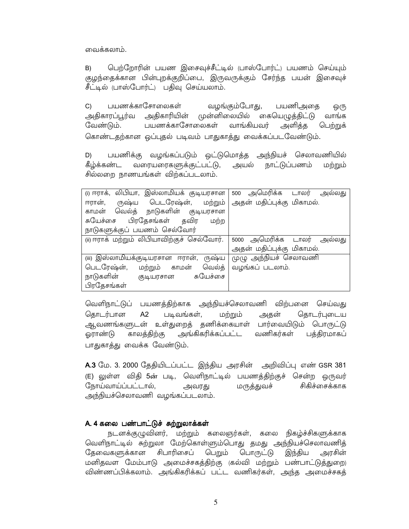வைக்கலாம்.

பெற்றோரின் பயண இசைவுச்சீட்டில் (பாஸ்போர்ட்) பயணம் செய்யும் B) குழந்தைக்கான பின்புறக்குறிப்பை, இருவருக்கும் சேர்ந்த பயன் இசைவுச் சீட்டில் (பாஸ்போர்ட்) பதிவு செய்யலாம்.

பயணக்காசோலைகள்  $C$ வழங்கும்போது, பயணிஅகை ஒ(ந அதிகாரப்பூர்வ அதிகாரியின் முன்னிலையில் கையெழுத்திட்டு வாங்க வேண்டும். பயணக்காசோலைகள் வாங்கியவர் அளிக்க பெற்றுக் கொண்டதற்கான ஒப்புதல் படிவம் பாதுகாத்து வைக்கப்படவேண்டும்.

பயணிக்கு வழங்கப்படும் ஒட்டுமொத்த அந்நியச் செலாவணியில் D) கீழ்க்கண்ட வரையரைகளுக்குட்பட்டு, அயல் நாட்டுப்பணம் மற்றும் சில்லறை நாணயங்கள் விற்கப்படலாம்.

| (i) ஈராக், லிபியா, இஸ்லாமியக் குடியரசான     | 500 அமெரிக்க டாலர்<br>அலலகு |
|---------------------------------------------|-----------------------------|
| பெடரேஷ்ன், மற்றும்<br>ருஷ்ய<br>ஈரான்,       | அதன் மதிப்புக்கு மிகாமல்.   |
| வெல்த் நாடுகளின் குடியரசான<br>காமன்         |                             |
| சுயேச்சை பிரதேசங்கள் தவிர<br>மற்ற           |                             |
| நாடுகளுக்குப் பயணம் செல்வோர்                |                             |
| (ii) ஈராக் மற்றும் லிபியாவிற்குச் செல்வோர். | 5000 அமெரிக்க டாலர் அல்லது  |
|                                             | அதன் மதிப்புக்கு மிகாமல்.   |
| (iii) இஸ்லாமியக்குடியரசான ஈரான்,<br>ருஷ்ய   | முழு அந்நியச் செலாவணி       |
| பெடரேஷ்ன்,<br>வெல்த்<br>மற்றும் காமன்       | வழங்கப் படலாம்.             |
| நாடுகளின்<br>சுயேச்சை<br>(தடியரசான          |                             |
| பிரதேசங்கள்                                 |                             |

வெளிநாட்டுப் பயணத்திற்காக அந்நியச்செலாவணி விற்பனை செய்வது கொடர்பான  $A2$ படிவங்கள், அதன் கொடர்புடைய மற்றும் ஆவணங்களுடன் உள்துறைத் தணிக்கையாள் பார்வையிடும் பொருட்டு அங்கிகரிக்கப்பட்ட வணிகர்கள் காலத்திற்கு பத்திரமாகப் ஓராண்டு பாதுகாத்து வைக்க வேண்டும்.

A.3 மே. 3. 2000 தேதியிடப்பட்ட இந்திய அரசின் அறிவிப்பு எண் GSR 381 (E) லுள்ள விதி 5ன் படி, வெளிநாட்டில் பயணத்திற்குச் சென்ற ஒருவர் நோய்வாய்ப்பட்டால், சிகிச்சைக்காக அவரது மருத்துவச் அந்நியச்செலாவணி வழங்கப்படலாம்.

#### A. 4 கலை பண்பாட்டுச் சுற்றுலாக்கள்

நடனக்குழுவினர், மற்றும் கலைஞர்கள், கலை நிகழ்ச்சிகளுக்காக வெளிநாட்டில் சுற்றுலா மேற்கொள்ளும்பொது தமது அந்நியச்செலாவணித் தேவைகளுக்கான சிபாரிசைப் பெறும் பொருட்டு இந்திய அரசின் மனிதவள மேம்பாடு அமைச்சகத்திற்கு (கல்வி மற்றும் பண்பாட்டுத்துறை) விண்ணப்பிக்கலாம். அங்கிகரிக்கப் பட்ட வணிகர்கள், அந்த அமைச்சகத்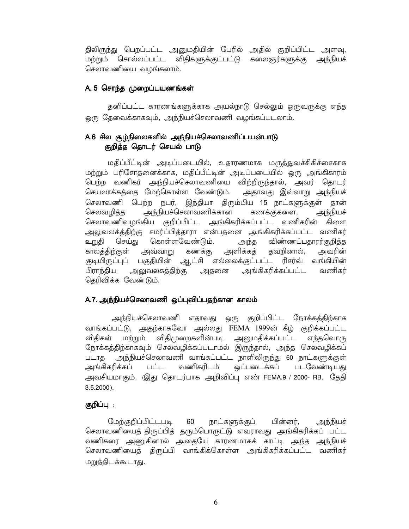திலிருந்து பெறப்பட்ட அனுமதியின் பேரில் அதில் குறிப்பிட்ட அளவு, மற்றும் சொல்லப்பட்ட விதிகளுக்குட்பட்டு கலைஞர்களுக்கு அந்நியச் செலாவணியை வழங்கலாம்.

### A. 5 சொந்த முறைப்பயணங்கள்

தனிப்பட்ட காரணங்களுக்காக அயல்நாடு செல்லும் ஒருவருக்கு எந்த ஒரு தேவைக்காகவும், அந்நியச்செலாவணி வழங்கப்படலாம்.

# A.6 சில சூழ்நிலைகளில் அந்நியச்செலாவணிப்பயன்பாடு குறித்த தொடர் செயல் பாடு

மதிப்பீட்டின் அடிப்படையில், உதாரணமாக மருத்துவச்சிகிச்சைகாக மற்றும் பரிசோதனைக்காக, மதிப்பீட்டின் அடிப்படையில் ஒரு அங்கிகாரம் பெற்ற வணிகர் அந்நியச்செலாவணியை விற்றிருந்தால், அவர் தொடர் செயலாக்கத்தை மேற்கொள்ள வேண்டும். அதாவது இவ்வாறு அந்நியச் செலாவணி பெற்ற நபர். இந்தியா கிரும்பிய 15 நாட்களுக்குள் கான் அந்நியச் அந்நியச்செலாவணிக்கான செலவழித்த கணக்குகளை, செலாவணிவழங்கிய குறிப்பிட்ட அங்கிகரிக்கப்பட்ட வணிகரின் கிளை அலுவலக்த்திற்கு சமர்ப்பித்தாரா என்பதனை அங்கிகரிக்கப்பட்ட வணிகர் உறுதி செய்து கொள்ளவேண்டும். அந்த விண்ணப்பதாரர்குறித்த அளிக்கத் தவறினால், அவரின் காலத்திற்குள் அவ்வாறு கணக்கு குடியிருப்புப் பகுதியின் ஆட்சி எல்லைக்குட்பட்ட ரிசர்வ் வங்கியின் பிராந்திய அலுவலகத்திற்கு அதனை அங்கிகரிக்கப்பட்ட வணிகர் தெரிவிக்க வேண்டும்.

## A.7. அந்நியச்செலாவணி ஒப்புவிப்பதற்கான காலம்

அந்நியச்செலாவணி எதாவது ஒரு குறிப்பிட்ட நோக்கத்திற்காக வாங்கப்பட்டு, அதற்காகவோ அல்லது FEMA 1999ன் கீழ் குறிக்கப்பட்ட மற்றும் விதிமுறைகளின்படி அனுமதிக்கப்பட்ட விகிகள் எந்தவொரு நோக்கத்திற்காகவும் செலவழிக்கப்படாமல் இருந்தால், அந்த செலவழிக்கப் படாத அந்நியச்செலாவணி வாங்கப்பட்ட நாளிலிருந்து 60 நாட்களுக்குள் அங்கிகரிக்கப் பட்ட வணிகரிடம் ஒப்படைக்கப் படவேண்டியது அவசியமாகும். (இது தொடர்பாக அறிவிப்பு எண் FEMA.9 / 2000- RB. தேதி  $3.5.2000$ ).

## குறிப்பு :

மேற்குறிப்பிட்டபடி அந்நியச் 60 நாட்களுக்குப் பின்னர், செலாவணியைத் திருப்பித் தரும்பொருட்டு எவராவது அங்கிகரிக்கப் பட்ட வணிகரை அணுகினால் அதையே காரணமாகக் காட்டி அந்த அந்நியச் செலாவணியைத் திருப்பி வாங்கிக்கொள்ள அங்கிகரிக்கப்பட்ட வணிகர் மறுத்திடக்கூடாது.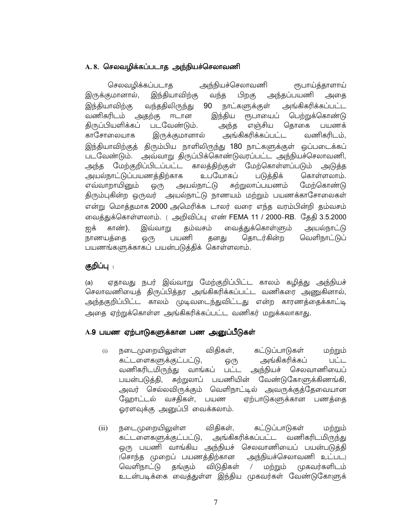## A. 8. செலவழிக்கப்படாத அந்நியச்செலாவணி

செலவழிக்கப்படாக அந்நியச்செலாவணி ரூபாய்த்தாளாய் அந்தப்பயணி இருக்குமானால், இந்தியாவிற்கு வந்த பிறகு அதை அங்கிகரிக்கப்பட்ட இந்தியாவிற்கு வந்ததிலிருந்து 90 நாட்களுக்குள் வணிகரிடம் அதற்கு ஈடான இந்திய ரூபாயைப் பெற்றுக்கொண்டு திருப்பியளிக்கப் படவேண்டும். எஞ்சிய தொகை பயணக் அந்த அங்கிகரிக்கப்பட்ட காசோலையாக இருக்குமானால் வணிகரிடம், இந்தியாவிற்குத் திரும்பிய நாளிலிருந்து 180 நாட்களுக்குள் ஒப்படைக்கப் அவ்வாறு திருப்பிக்கொண்டுவரப்பட்ட அந்நியச்செலாவணி, படவேண்டும். அந்த மேற்குறிப்பிடப்பட்ட காலத்திற்குள் மேற்கொள்ளப்படும் அடுக்க அயல்நாட்டுப்பயணத்திற்காக உபயோகப் படுத்திக் கொள்ளலாம். எவ்வாறாயினும் அயல்நாட்டு சுற்றுலாப்பயணம் மேற்கொண்டு ஒ(ந திரும்புகின்ற ஒருவர் அயல்நாட்டு நாணயம் மற்றும் பயணக்காசோலைகள் என்று மொத்தமாக 2000 அமெரிக்க டாலர் வரை எந்த வரம்பின்றி தம்வசம் வைத்துக்கொள்ளலாம். ( அறிவிப்பு எண் FEMA 11 / 2000–RB. தேதி 3.5.2000 காண்). ஐக் இவ்வாறு கம்வசம் வைத்துக்கொள்ளும் அயல்நாட்டு நாணயத்தை ஒரு பயணி தனது தொடர்கின்ற வெளிநாட்டுப் பயணங்களுக்காகப் பயன்படுத்திக் கொள்ளலாம்.

## குறிப்பு :

ஏதாவது நபர் இவ்வாறு மேற்குறிப்பிட்ட காலம் கழித்து அந்நியச்  $(a)$ செலாவணியைத் திருப்பித்தர அங்கிகரிக்கப்பட்ட வணிகரை அணுகினால், அந்தகுறிப்பிட்ட காலம் முடிவடைந்துவிட்டது என்ற காரணத்தைக்காட்டி அதை ஏற்றுக்கொள்ள அங்கிகரிக்கப்பட்ட வணிகர் மறுக்கலாகாது.

#### A.9 பயண ஏற்பாடுகளுக்கான பண அனுப்பீடுகள்

- நடைமுறையிலுள்ள விகிகள். கட்டுப்பாடுகள் மற்றும்  $(i)$ கட்டளைகளுக்குட்பட்டு, அங்கிகரிக்கப்  $LIL$ ஒ(ந வணிகரிடமிருந்து வாங்கப் அந்நியச் செலவாணியைப்  $\sqcup \dot{\sqcup} \sqcup$ பயன்படுத்தி, சுற்றுலாப் பயணியின் வேண்டுகோளுக்கிணங்கி, அவர் செல்லவிருக்கும் வெளிநாட்டில் அவருக்குத்தேவையான ஹோட்டல் வசதிகள், பயண ஏற்பாடுகளுக்கான பணத்தை ஓரளவுக்கு அனுப்பி வைக்கலாம்.
- நடைமுறையிலுள்ள கட்டுப்பாடுகள்  $(ii)$ விகிகள், மற்றும் அங்கிகரிக்கப்பட்ட வணிகரிடமிருந்து கட்டளைகளுக்குட்பட்டு, ஒரு பயணி வாங்கிய அந்நியச் செலவாணியைப் பயன்படுத்தி அந்நியச்செலாவணி உட்பட) (சொந்த முறைப் பயணத்திற்கான வெளிநாட்டு விடுதிகள் முகவர்களிடம் தங்கும் மற்றும்  $\sqrt{2}$ உடன்படிக்கை வைத்துள்ள இந்திய முகவர்கள் வேண்டுகோளுக்